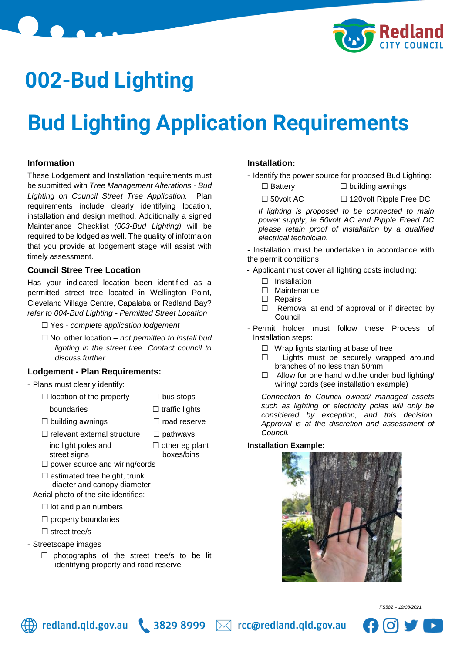

## **002-Bud Lighting**

# **Bud Lighting Application Requirements**

### **Information**

These Lodgement and Installation requirements must be submitted with *Tree Management Alterations - Bud Lighting on Council Street Tree Application.* Plan requirements include clearly identifying location, installation and design method. Additionally a signed Maintenance Checklist *(003-Bud Lighting)* will be required to be lodged as well. The quality of infotmaion that you provide at lodgement stage will assist with timely assessment.

#### **Council Stree Tree Location**

Has your indicated location been identified as a permitted street tree located in Wellington Point, Cleveland Village Centre, Capalaba or Redland Bay? *refer to 004-Bud Lighting - Permitted Street Location* 

- Yes *complete application lodgement*
- No, other location *not permitted to install bud lighting in the street tree. Contact council to discuss further*

#### **Lodgement - Plan Requirements:**

- Plans must clearly identify:

- $\Box$  location of the property  $\Box$  bus stops
	- boundaries **boundaries**  $\Box$  traffic lights
- $\Box$  building awnings  $\Box$  road reserve
- $\Box$  relevant external structure  $\Box$  pathways inc light poles and  $\Box$  other eg plant street signs boxes/bins
- -
- $\square$  power source and wiring/cords
- $\square$  estimated tree height, trunk diaeter and canopy diameter
- Aerial photo of the site identifies:
	- $\Box$  lot and plan numbers
	- $\square$  property boundaries
	- $\square$  street tree/s
- Streetscape images
	- $\Box$  photographs of the street tree/s to be lit identifying property and road reserve

#### **Installation:**

- Identify the power source for proposed Bud Lighting:
	- $\square$  Battery  $\square$  building awnings
	- □ 50volt AC □ 120volt Ripple Free DC

*If lighting is proposed to be connected to main power supply, ie 50volt AC and Ripple Freed DC please retain proof of installation by a qualified electrical technician.*

- Installation must be undertaken in accordance with the permit conditions

- Applicant must cover all lighting costs including:
	- $\Box$  Installation
	- □ Maintenance
	- □ Repairs
	- $\Box$  Removal at end of approval or if directed by Council
- Permit holder must follow these Process of Installation steps:
	- $\Box$  Wrap lights starting at base of tree
	- □ Lights must be securely wrapped around branches of no less than 50mm
	- $\Box$  Allow for one hand widthe under bud lighting/ wiring/ cords (see installation example)

*Connection to Council owned/ managed assets such as lighting or electricity poles will only be considered by exception, and this decision. Approval is at the discretion and assessment of Council.*

#### **Installation Example:**





*FS582 – 19/08/2021*